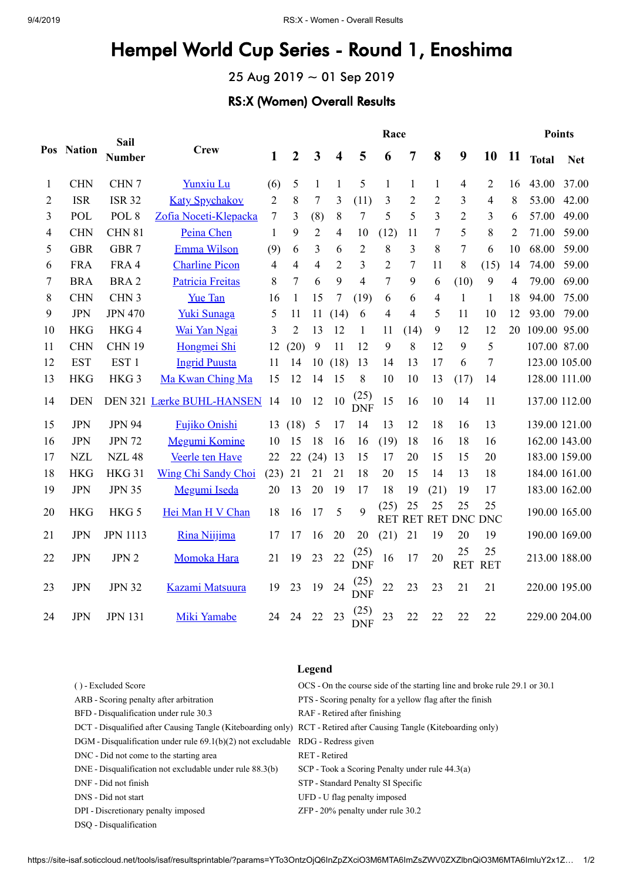## Hempel World Cup Series - Round 1, Enoshima

25 Aug 2019 ~ 01 Sep 2019

## RS:X (Women) Overall Results

|                |            | Sail             |                            | Race           |                  |                         |                          |                    |                    |                  |                         |                       |                  | <b>Points</b>  |               |               |
|----------------|------------|------------------|----------------------------|----------------|------------------|-------------------------|--------------------------|--------------------|--------------------|------------------|-------------------------|-----------------------|------------------|----------------|---------------|---------------|
|                | Pos Nation | <b>Number</b>    | <b>Crew</b>                | $\mathbf{1}$   | $\boldsymbol{2}$ | $\overline{\mathbf{3}}$ | $\overline{\mathbf{4}}$  | 5                  | 6                  | 7                | 8                       | 9                     | 10               | 11             | <b>Total</b>  | <b>Net</b>    |
| 1              | <b>CHN</b> | CHN 7            | Yunxiu Lu                  | (6)            | 5                | $\mathbf{1}$            | 1                        | 5                  | 1                  | $\mathbf{1}$     | $\mathbf{1}$            | 4                     | 2                | 16             | 43.00         | 37.00         |
| $\overline{2}$ | <b>ISR</b> | <b>ISR 32</b>    | <b>Katy Spychakov</b>      | $\overline{2}$ | 8                | 7                       | 3                        | (11)               | 3                  | $\overline{2}$   | $\overline{2}$          | 3                     | $\overline{4}$   | 8              | 53.00         | 42.00         |
| 3              | POL        | POL <sub>8</sub> | Zofia Noceti-Klepacka      | 7              | 3                | (8)                     | 8                        | 7                  | 5                  | 5                | $\overline{\mathbf{3}}$ | $\overline{2}$        | 3                | 6              | 57.00         | 49.00         |
| 4              | <b>CHN</b> | <b>CHN 81</b>    | Peina Chen                 | 1              | 9                | $\overline{2}$          | $\overline{\mathcal{A}}$ | 10                 | (12)               | 11               | 7                       | 5                     | 8                | $\overline{2}$ | 71.00         | 59.00         |
| 5              | <b>GBR</b> | GBR 7            | Emma Wilson                | (9)            | 6                | 3                       | 6                        | $\overline{2}$     | 8                  | 3                | 8                       | 7                     | 6                | 10             | 68.00         | 59.00         |
| 6              | <b>FRA</b> | FRA 4            | <b>Charline Picon</b>      | 4              | 4                | 4                       | 2                        | 3                  | $\overline{2}$     | $\boldsymbol{7}$ | 11                      | 8                     | (15)             | 14             | 74.00         | 59.00         |
| 7              | <b>BRA</b> | BRA <sub>2</sub> | Patricia Freitas           | 8              | 7                | 6                       | 9                        | 4                  | 7                  | 9                | 6                       | (10)                  | 9                | 4              | 79.00         | 69.00         |
| 8              | <b>CHN</b> | CHN <sub>3</sub> | <b>Yue Tan</b>             | 16             | 1                | 15                      | 7                        | (19)               | 6                  | 6                | 4                       | 1                     | 1                | 18             | 94.00         | 75.00         |
| 9              | <b>JPN</b> | <b>JPN 470</b>   | Yuki Sunaga                | 5              | 11               | 11                      | (14)                     | 6                  | 4                  | $\overline{4}$   | 5                       | 11                    | 10               | 12             | 93.00         | 79.00         |
| 10             | <b>HKG</b> | HKG4             | Wai Yan Ngai               | 3              | $\overline{2}$   | 13                      | 12                       | 1                  | 11                 | (14)             | 9                       | 12                    | 12               | 20             | 109.00 95.00  |               |
| 11             | <b>CHN</b> | <b>CHN 19</b>    | Hongmei Shi                | 12             | (20)             | 9                       | 11                       | 12                 | 9                  | 8                | 12                      | 9                     | 5                |                | 107.00 87.00  |               |
| 12             | <b>EST</b> | EST <sub>1</sub> | <b>Ingrid Puusta</b>       | 11             | 14               | 10                      | (18)                     | 13                 | 14                 | 13               | 17                      | 6                     | 7                |                |               | 123.00 105.00 |
| 13             | <b>HKG</b> | HKG <sub>3</sub> | Ma Kwan Ching Ma           | 15             | 12               | 14                      | 15                       | 8                  | 10                 | 10               | 13                      | (17)                  | 14               |                | 128.00 111.00 |               |
| 14             | <b>DEN</b> |                  | DEN 321 Lærke BUHL-HANSEN  | 14             | 10               | 12                      | 10                       | (25)<br><b>DNF</b> | 15                 | 16               | 10                      | 14                    | 11               |                |               | 137.00 112.00 |
| 15             | <b>JPN</b> | <b>JPN 94</b>    | <b>Fujiko Onishi</b>       | 13             | (18)             | 5                       | 17                       | 14                 | 13                 | 12               | 18                      | 16                    | 13               |                |               | 139.00 121.00 |
| 16             | <b>JPN</b> | <b>JPN 72</b>    | <b>Megumi Komine</b>       | 10             | 15               | 18                      | 16                       | 16                 | (19)               | 18               | 16                      | 18                    | 16               |                |               | 162.00 143.00 |
| 17             | <b>NZL</b> | <b>NZL 48</b>    | Veerle ten Have            | 22             | 22               | (24)                    | 13                       | 15                 | 17                 | 20               | 15                      | 15                    | 20               |                |               | 183.00 159.00 |
| 18             | <b>HKG</b> | <b>HKG 31</b>    | <b>Wing Chi Sandy Choi</b> | (23)           | 21               | 21                      | 21                       | 18                 | 20                 | 15               | 14                      | 13                    | 18               |                |               | 184.00 161.00 |
| 19             | <b>JPN</b> | <b>JPN 35</b>    | Megumi Iseda               | 20             | 13               | 20                      | 19                       | 17                 | 18                 | 19               | (21)                    | 19                    | 17               |                |               | 183.00 162.00 |
| 20             | <b>HKG</b> | HKG 5            | Hei Man H V Chan           | 18             | 16               | 17                      | 5                        | 9                  | (25)<br><b>RET</b> | 25               | 25                      | 25<br>RET RET DNC DNC | 25               |                |               | 190.00 165.00 |
| 21             | <b>JPN</b> | <b>JPN 1113</b>  | Rina Niijima               | 17             | 17               | 16                      | 20                       | 20                 | (21)               | 21               | 19                      | 20                    | 19               |                |               | 190.00 169.00 |
| 22             | <b>JPN</b> | JPN 2            | Momoka Hara                | 21             | 19               | 23                      | 22                       | $(25)$<br>DNF      | 16                 | 17               | 20                      | 25<br><b>RET</b>      | 25<br><b>RET</b> |                |               | 213.00 188.00 |
| 23             | <b>JPN</b> | <b>JPN 32</b>    | Kazami Matsuura            | 19             | 23               | 19                      | $24\,$                   | $(25)$<br>DNF      | 22                 | 23               | 23                      | 21                    | 21               |                | 220.00 195.00 |               |
| 24             | <b>JPN</b> | <b>JPN 131</b>   | Miki Yamabe                | 24             | 24               | 22                      | 23                       | (25)<br><b>DNF</b> | 23                 | 22               | 22                      | 22                    | 22               |                |               | 229.00 204.00 |

|                                                                                                                    | Legend                                                                    |
|--------------------------------------------------------------------------------------------------------------------|---------------------------------------------------------------------------|
| () - Excluded Score                                                                                                | OCS - On the course side of the starting line and broke rule 29.1 or 30.1 |
| ARB - Scoring penalty after arbitration                                                                            | PTS - Scoring penalty for a yellow flag after the finish                  |
| BFD - Disqualification under rule 30.3                                                                             | RAF - Retired after finishing                                             |
| DCT - Disqualified after Causing Tangle (Kiteboarding only) RCT - Retired after Causing Tangle (Kiteboarding only) |                                                                           |
| $DGM$ - Disqualification under rule $69.1(b)(2)$ not excludable $RDG$ - Redress given                              |                                                                           |
| DNC - Did not come to the starting area                                                                            | RET - Retired                                                             |
| DNE - Disqualification not excludable under rule 88.3(b)                                                           | SCP - Took a Scoring Penalty under rule 44.3(a)                           |
| DNF - Did not finish                                                                                               | STP - Standard Penalty SI Specific                                        |
| DNS - Did not start                                                                                                | UFD - U flag penalty imposed                                              |
| DPI - Discretionary penalty imposed                                                                                | $ZFP - 20\%$ penalty under rule 30.2                                      |

DSQ - Disqualification